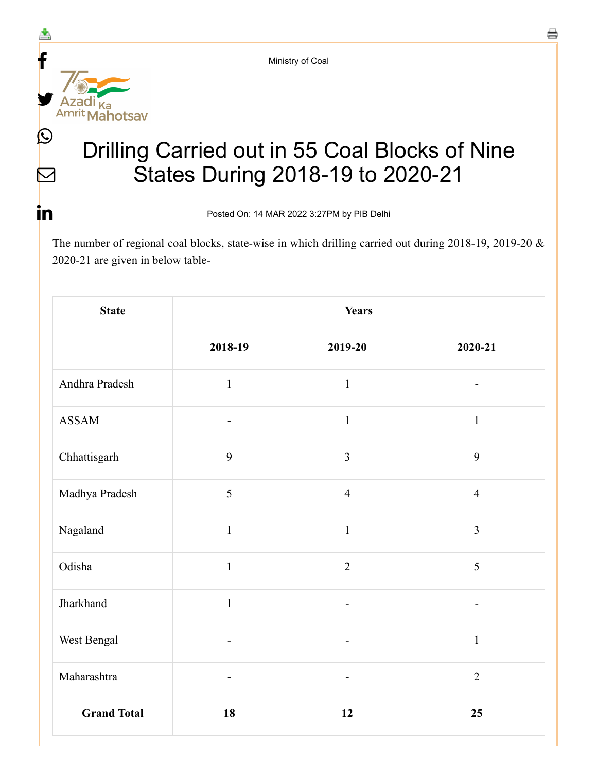Ministry of Coal



 $\triangleright$ 

<u>in</u>

## Drilling Carried out in 55 Coal Blocks of Nine States During 2018-19 to 2020-21

Posted On: 14 MAR 2022 3:27PM by PIB Delhi

The number of regional coal blocks, state-wise in which drilling carried out during 2018-19, 2019-20 & 2020-21 are given in below table-

| <b>State</b>       | <b>Years</b>                 |                          |                          |
|--------------------|------------------------------|--------------------------|--------------------------|
|                    | 2018-19                      | 2019-20                  | 2020-21                  |
| Andhra Pradesh     | $\mathbf{1}$                 | $\mathbf{1}$             |                          |
| <b>ASSAM</b>       | $\overline{\phantom{a}}$     | $\mathbf{1}$             | $\mathbf{1}$             |
| Chhattisgarh       | 9                            | $\overline{3}$           | 9                        |
| Madhya Pradesh     | 5                            | $\overline{4}$           | $\overline{4}$           |
| Nagaland           | $\mathbf{1}$                 | $1\,$                    | $\overline{3}$           |
| Odisha             | $\mathbf{1}$                 | $\overline{2}$           | 5                        |
| Jharkhand          | $\mathbf{1}$                 | $\blacksquare$           | $\overline{\phantom{a}}$ |
| West Bengal        | $\overline{\phantom{a}}$     | $\overline{\phantom{a}}$ | $\mathbf{1}$             |
| Maharashtra        | $\qquad \qquad \blacksquare$ |                          | $\overline{2}$           |
| <b>Grand Total</b> | 18                           | 12                       | 25                       |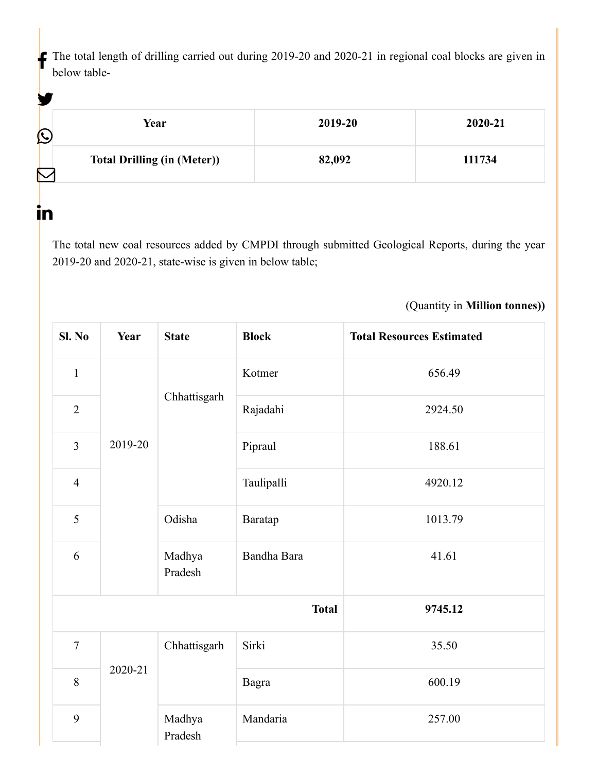The total length of drilling carried out during 2019-20 and 2020-21 in regional coal blocks are given in below table-

| Y |                                    |         |         |
|---|------------------------------------|---------|---------|
| C | Year                               | 2019-20 | 2020-21 |
|   | <b>Total Drilling (in (Meter))</b> | 82,092  | 111734  |

in

The total new coal resources added by CMPDI through submitted Geological Reports, during the year 2019-20 and 2020-21, state-wise is given in below table;

## (Quantity in **Million tonnes))**

| Sl. No         | Year                                   | <b>State</b>      | <b>Block</b> | <b>Total Resources Estimated</b> |
|----------------|----------------------------------------|-------------------|--------------|----------------------------------|
| $\mathbf{1}$   |                                        |                   | Kotmer       | 656.49                           |
| $\overline{2}$ |                                        | Chhattisgarh      | Rajadahi     | 2924.50                          |
| $\overline{3}$ | 2019-20<br>Odisha<br>Madhya<br>Pradesh |                   | Pipraul      | 188.61                           |
| $\overline{4}$ |                                        |                   | Taulipalli   | 4920.12                          |
| 5              |                                        |                   | Baratap      | 1013.79                          |
| 6              |                                        |                   | Bandha Bara  | 41.61                            |
| <b>Total</b>   |                                        |                   | 9745.12      |                                  |
| $\overline{7}$ | 2020-21                                | Chhattisgarh      | Sirki        | 35.50                            |
| 8              |                                        |                   | <b>Bagra</b> | 600.19                           |
| 9              |                                        | Madhya<br>Pradesh | Mandaria     | 257.00                           |